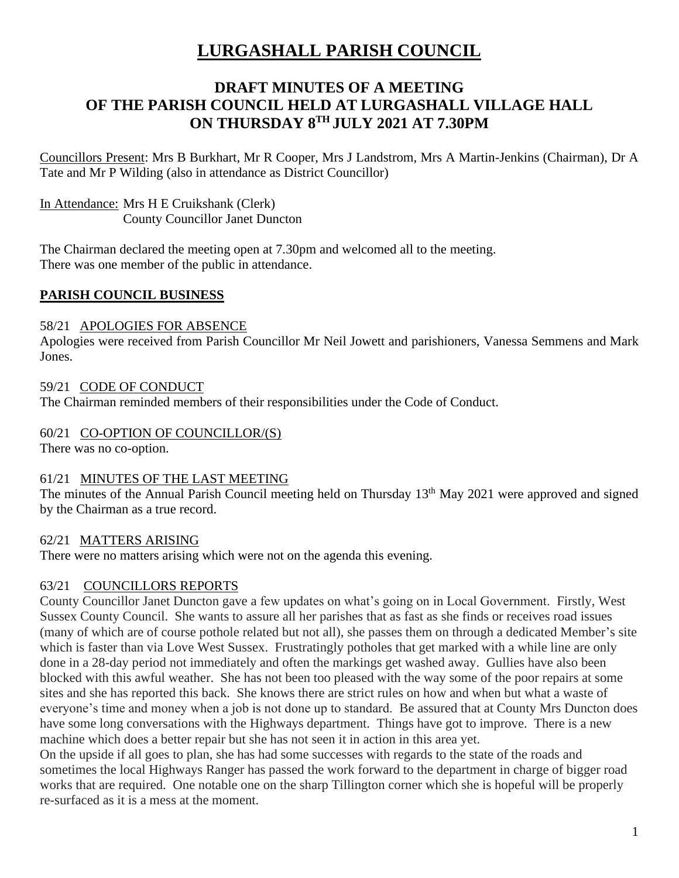# **LURGASHALL PARISH COUNCIL**

# **DRAFT MINUTES OF A MEETING OF THE PARISH COUNCIL HELD AT LURGASHALL VILLAGE HALL ON THURSDAY 8 TH JULY 2021 AT 7.30PM**

Councillors Present: Mrs B Burkhart, Mr R Cooper, Mrs J Landstrom, Mrs A Martin-Jenkins (Chairman), Dr A Tate and Mr P Wilding (also in attendance as District Councillor)

In Attendance: Mrs H E Cruikshank (Clerk) County Councillor Janet Duncton

The Chairman declared the meeting open at 7.30pm and welcomed all to the meeting. There was one member of the public in attendance.

# **PARISH COUNCIL BUSINESS**

### 58/21 APOLOGIES FOR ABSENCE

Apologies were received from Parish Councillor Mr Neil Jowett and parishioners, Vanessa Semmens and Mark Jones.

59/21 CODE OF CONDUCT The Chairman reminded members of their responsibilities under the Code of Conduct.

## 60/21 CO-OPTION OF COUNCILLOR/(S)

There was no co-option.

# 61/21 MINUTES OF THE LAST MEETING

The minutes of the Annual Parish Council meeting held on Thursday 13<sup>th</sup> May 2021 were approved and signed by the Chairman as a true record.

#### 62/21 MATTERS ARISING

There were no matters arising which were not on the agenda this evening.

# 63/21 COUNCILLORS REPORTS

County Councillor Janet Duncton gave a few updates on what's going on in Local Government. Firstly, West Sussex County Council. She wants to assure all her parishes that as fast as she finds or receives road issues (many of which are of course pothole related but not all), she passes them on through a dedicated Member's site which is faster than via Love West Sussex. Frustratingly potholes that get marked with a while line are only done in a 28-day period not immediately and often the markings get washed away. Gullies have also been blocked with this awful weather. She has not been too pleased with the way some of the poor repairs at some sites and she has reported this back. She knows there are strict rules on how and when but what a waste of everyone's time and money when a job is not done up to standard. Be assured that at County Mrs Duncton does have some long conversations with the Highways department. Things have got to improve. There is a new machine which does a better repair but she has not seen it in action in this area yet.

On the upside if all goes to plan, she has had some successes with regards to the state of the roads and sometimes the local Highways Ranger has passed the work forward to the department in charge of bigger road works that are required. One notable one on the sharp Tillington corner which she is hopeful will be properly re-surfaced as it is a mess at the moment.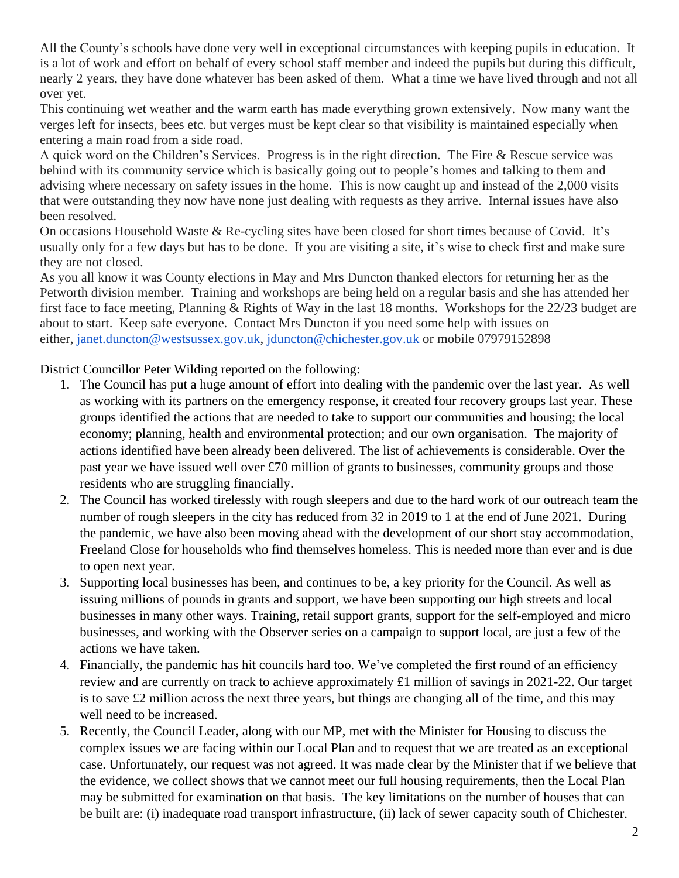All the County's schools have done very well in exceptional circumstances with keeping pupils in education. It is a lot of work and effort on behalf of every school staff member and indeed the pupils but during this difficult, nearly 2 years, they have done whatever has been asked of them. What a time we have lived through and not all over yet.

This continuing wet weather and the warm earth has made everything grown extensively. Now many want the verges left for insects, bees etc. but verges must be kept clear so that visibility is maintained especially when entering a main road from a side road.

A quick word on the Children's Services. Progress is in the right direction. The Fire & Rescue service was behind with its community service which is basically going out to people's homes and talking to them and advising where necessary on safety issues in the home. This is now caught up and instead of the 2,000 visits that were outstanding they now have none just dealing with requests as they arrive. Internal issues have also been resolved.

On occasions Household Waste & Re-cycling sites have been closed for short times because of Covid. It's usually only for a few days but has to be done. If you are visiting a site, it's wise to check first and make sure they are not closed.

As you all know it was County elections in May and Mrs Duncton thanked electors for returning her as the Petworth division member. Training and workshops are being held on a regular basis and she has attended her first face to face meeting, Planning & Rights of Way in the last 18 months. Workshops for the 22/23 budget are about to start. Keep safe everyone. Contact Mrs Duncton if you need some help with issues on either, [janet.duncton@westsussex.gov.uk,](mailto:janet.duncton@westsussex.gov.uk) [jduncton@chichester.gov.uk](mailto:jduncton@chichester.gov.uk) or mobile 07979152898

District Councillor Peter Wilding reported on the following:

- 1. The Council has put a huge amount of effort into dealing with the pandemic over the last year. As well as working with its partners on the emergency response, it created four recovery groups last year. These groups identified the actions that are needed to take to support our communities and housing; the local economy; planning, health and environmental protection; and our own organisation. The majority of actions identified have been already been delivered. The list of achievements is considerable. Over the past year we have issued well over £70 million of grants to businesses, community groups and those residents who are struggling financially.
- 2. The Council has worked tirelessly with rough sleepers and due to the hard work of our outreach team the number of rough sleepers in the city has reduced from 32 in 2019 to 1 at the end of June 2021. During the pandemic, we have also been moving ahead with the development of our short stay accommodation, Freeland Close for households who find themselves homeless. This is needed more than ever and is due to open next year.
- 3. Supporting local businesses has been, and continues to be, a key priority for the Council. As well as issuing millions of pounds in grants and support, we have been supporting our high streets and local businesses in many other ways. Training, retail support grants, support for the self-employed and micro businesses, and working with the Observer series on a campaign to support local, are just a few of the actions we have taken.
- 4. Financially, the pandemic has hit councils hard too. We've completed the first round of an efficiency review and are currently on track to achieve approximately £1 million of savings in 2021-22. Our target is to save £2 million across the next three years, but things are changing all of the time, and this may well need to be increased.
- 5. Recently, the Council Leader, along with our MP, met with the Minister for Housing to discuss the complex issues we are facing within our Local Plan and to request that we are treated as an exceptional case. Unfortunately, our request was not agreed. It was made clear by the Minister that if we believe that the evidence, we collect shows that we cannot meet our full housing requirements, then the Local Plan may be submitted for examination on that basis. The key limitations on the number of houses that can be built are: (i) inadequate road transport infrastructure, (ii) lack of sewer capacity south of Chichester.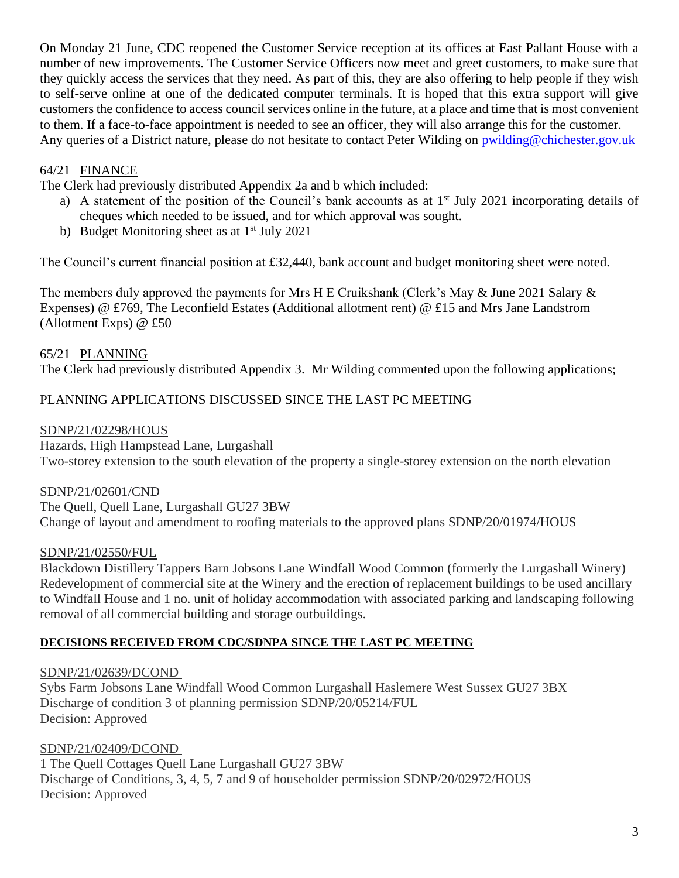On Monday 21 June, CDC reopened the Customer Service reception at its offices at East Pallant House with a number of new improvements. The Customer Service Officers now meet and greet customers, to make sure that they quickly access the services that they need. As part of this, they are also offering to help people if they wish to self-serve online at one of the dedicated computer terminals. It is hoped that this extra support will give customers the confidence to access council services online in the future, at a place and time that is most convenient to them. If a face-to-face appointment is needed to see an officer, they will also arrange this for the customer. Any queries of a District nature, please do not hesitate to contact Peter Wilding on [pwilding@chichester.gov.uk](mailto:pwilding@chichester.gov.uk)

### 64/21 FINANCE

The Clerk had previously distributed Appendix 2a and b which included:

- a) A statement of the position of the Council's bank accounts as at 1<sup>st</sup> July 2021 incorporating details of cheques which needed to be issued, and for which approval was sought.
- b) Budget Monitoring sheet as at  $1<sup>st</sup>$  July 2021

The Council's current financial position at £32,440, bank account and budget monitoring sheet were noted.

The members duly approved the payments for Mrs H E Cruikshank (Clerk's May & June 2021 Salary & Expenses) @ £769, The Leconfield Estates (Additional allotment rent) @ £15 and Mrs Jane Landstrom (Allotment Exps) @ £50

### 65/21 PLANNING

The Clerk had previously distributed Appendix 3. Mr Wilding commented upon the following applications;

# PLANNING APPLICATIONS DISCUSSED SINCE THE LAST PC MEETING

#### SDNP/21/02298/HOUS

Hazards, High Hampstead Lane, Lurgashall Two-storey extension to the south elevation of the property a single-storey extension on the north elevation

#### SDNP/21/02601/CND

The Quell, Quell Lane, Lurgashall GU27 3BW Change of layout and amendment to roofing materials to the approved plans SDNP/20/01974/HOUS

#### SDNP/21/02550/FUL

Blackdown Distillery Tappers Barn Jobsons Lane Windfall Wood Common (formerly the Lurgashall Winery) Redevelopment of commercial site at the Winery and the erection of replacement buildings to be used ancillary to Windfall House and 1 no. unit of holiday accommodation with associated parking and landscaping following removal of all commercial building and storage outbuildings.

#### **DECISIONS RECEIVED FROM CDC/SDNPA SINCE THE LAST PC MEETING**

#### SDNP/21/02639/DCOND

Sybs Farm Jobsons Lane Windfall Wood Common Lurgashall Haslemere West Sussex GU27 3BX Discharge of condition 3 of planning permission SDNP/20/05214/FUL Decision: Approved

#### SDNP/21/02409/DCOND

1 The Quell Cottages Quell Lane Lurgashall GU27 3BW Discharge of Conditions, 3, 4, 5, 7 and 9 of householder permission SDNP/20/02972/HOUS Decision: Approved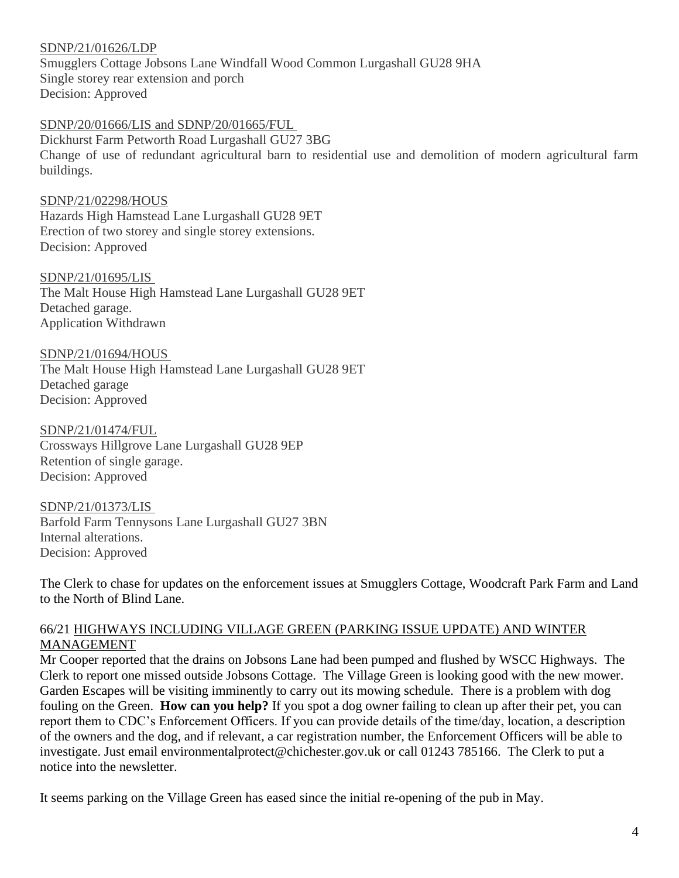#### SDNP/21/01626/LDP

Smugglers Cottage Jobsons Lane Windfall Wood Common Lurgashall GU28 9HA Single storey rear extension and porch Decision: Approved

#### SDNP/20/01666/LIS and SDNP/20/01665/FUL

Dickhurst Farm Petworth Road Lurgashall GU27 3BG Change of use of redundant agricultural barn to residential use and demolition of modern agricultural farm buildings.

#### SDNP/21/02298/HOUS

Hazards High Hamstead Lane Lurgashall GU28 9ET Erection of two storey and single storey extensions. Decision: Approved

#### SDNP/21/01695/LIS

The Malt House High Hamstead Lane Lurgashall GU28 9ET Detached garage. Application Withdrawn

SDNP/21/01694/HOUS

The Malt House High Hamstead Lane Lurgashall GU28 9ET Detached garage Decision: Approved

SDNP/21/01474/FUL

Crossways Hillgrove Lane Lurgashall GU28 9EP Retention of single garage. Decision: Approved

SDNP/21/01373/LIS Barfold Farm Tennysons Lane Lurgashall GU27 3BN Internal alterations. Decision: Approved

The Clerk to chase for updates on the enforcement issues at Smugglers Cottage, Woodcraft Park Farm and Land to the North of Blind Lane.

#### 66/21 HIGHWAYS INCLUDING VILLAGE GREEN (PARKING ISSUE UPDATE) AND WINTER MANAGEMENT

Mr Cooper reported that the drains on Jobsons Lane had been pumped and flushed by WSCC Highways. The Clerk to report one missed outside Jobsons Cottage. The Village Green is looking good with the new mower. Garden Escapes will be visiting imminently to carry out its mowing schedule. There is a problem with dog fouling on the Green. **How can you help?** If you spot a dog owner failing to clean up after their pet, you can report them to CDC's Enforcement Officers. If you can provide details of the time/day, location, a description of the owners and the dog, and if relevant, a car registration number, the Enforcement Officers will be able to investigate. Just email environmentalprotect@chichester.gov.uk or call 01243 785166. The Clerk to put a notice into the newsletter.

It seems parking on the Village Green has eased since the initial re-opening of the pub in May.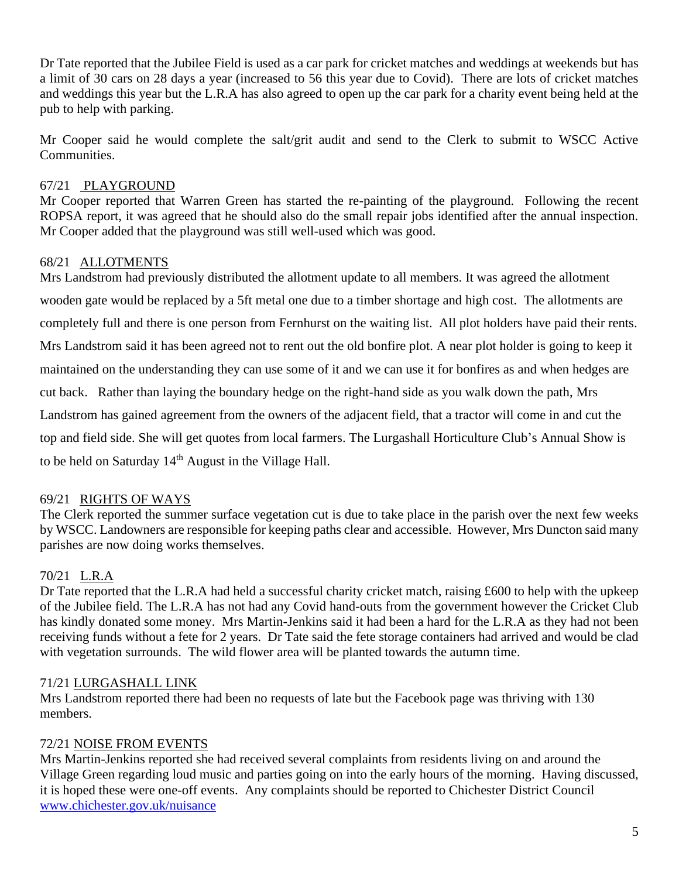Dr Tate reported that the Jubilee Field is used as a car park for cricket matches and weddings at weekends but has a limit of 30 cars on 28 days a year (increased to 56 this year due to Covid). There are lots of cricket matches and weddings this year but the L.R.A has also agreed to open up the car park for a charity event being held at the pub to help with parking.

Mr Cooper said he would complete the salt/grit audit and send to the Clerk to submit to WSCC Active Communities.

# 67/21 PLAYGROUND

Mr Cooper reported that Warren Green has started the re-painting of the playground. Following the recent ROPSA report, it was agreed that he should also do the small repair jobs identified after the annual inspection. Mr Cooper added that the playground was still well-used which was good.

# 68/21 ALLOTMENTS

Mrs Landstrom had previously distributed the allotment update to all members. It was agreed the allotment wooden gate would be replaced by a 5ft metal one due to a timber shortage and high cost. The allotments are completely full and there is one person from Fernhurst on the waiting list. All plot holders have paid their rents. Mrs Landstrom said it has been agreed not to rent out the old bonfire plot. A near plot holder is going to keep it maintained on the understanding they can use some of it and we can use it for bonfires as and when hedges are cut back. Rather than laying the boundary hedge on the right-hand side as you walk down the path, Mrs Landstrom has gained agreement from the owners of the adjacent field, that a tractor will come in and cut the top and field side. She will get quotes from local farmers. The Lurgashall Horticulture Club's Annual Show is to be held on Saturday  $14<sup>th</sup>$  August in the Village Hall.

# 69/21 RIGHTS OF WAYS

The Clerk reported the summer surface vegetation cut is due to take place in the parish over the next few weeks by WSCC. Landowners are responsible for keeping paths clear and accessible. However, Mrs Duncton said many parishes are now doing works themselves.

# 70/21 L.R.A

Dr Tate reported that the L.R.A had held a successful charity cricket match, raising £600 to help with the upkeep of the Jubilee field. The L.R.A has not had any Covid hand-outs from the government however the Cricket Club has kindly donated some money. Mrs Martin-Jenkins said it had been a hard for the L.R.A as they had not been receiving funds without a fete for 2 years. Dr Tate said the fete storage containers had arrived and would be clad with vegetation surrounds. The wild flower area will be planted towards the autumn time.

# 71/21 LURGASHALL LINK

Mrs Landstrom reported there had been no requests of late but the Facebook page was thriving with 130 members.

# 72/21 NOISE FROM EVENTS

Mrs Martin-Jenkins reported she had received several complaints from residents living on and around the Village Green regarding loud music and parties going on into the early hours of the morning. Having discussed, it is hoped these were one-off events. Any complaints should be reported to Chichester District Council [www.chichester.gov.uk/nuisance](http://www.chichester.gov.uk/nuisance)